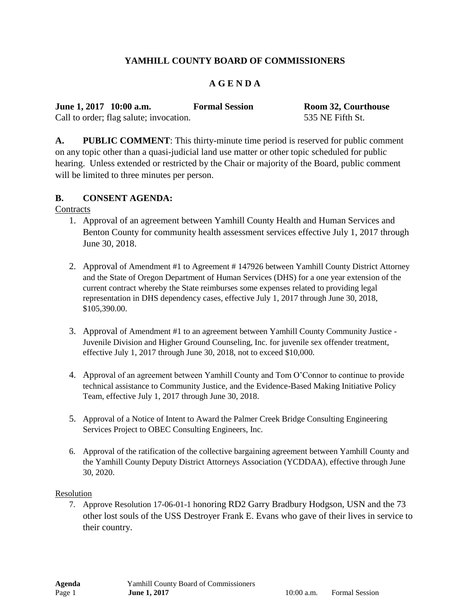# **YAMHILL COUNTY BOARD OF COMMISSIONERS**

## **A G E N D A**

**June 1, 2017 10:00 a.m. Formal Session Room 32, Courthouse**

Call to order; flag salute; invocation. 535 NE Fifth St.

**A. PUBLIC COMMENT**: This thirty-minute time period is reserved for public comment on any topic other than a quasi-judicial land use matter or other topic scheduled for public hearing. Unless extended or restricted by the Chair or majority of the Board, public comment will be limited to three minutes per person.

### **B. CONSENT AGENDA:**

**Contracts** 

- 1. Approval of an agreement between Yamhill County Health and Human Services and Benton County for community health assessment services effective July 1, 2017 through June 30, 2018.
- 2. Approval of Amendment #1 to Agreement # 147926 between Yamhill County District Attorney and the State of Oregon Department of Human Services (DHS) for a one year extension of the current contract whereby the State reimburses some expenses related to providing legal representation in DHS dependency cases, effective July 1, 2017 through June 30, 2018, \$105,390.00.
- 3. Approval of Amendment #1 to an agreement between Yamhill County Community Justice Juvenile Division and Higher Ground Counseling, Inc. for juvenile sex offender treatment, effective July 1, 2017 through June 30, 2018, not to exceed \$10,000.
- 4. Approval of an agreement between Yamhill County and Tom O'Connor to continue to provide technical assistance to Community Justice, and the Evidence-Based Making Initiative Policy Team, effective July 1, 2017 through June 30, 2018.
- 5. Approval of a Notice of Intent to Award the Palmer Creek Bridge Consulting Engineering Services Project to OBEC Consulting Engineers, Inc.
- 6. Approval of the ratification of the collective bargaining agreement between Yamhill County and the Yamhill County Deputy District Attorneys Association (YCDDAA), effective through June 30, 2020.

Resolution

7. Approve Resolution 17-06-01-1 honoring RD2 Garry Bradbury Hodgson, USN and the 73 other lost souls of the USS Destroyer Frank E. Evans who gave of their lives in service to their country.